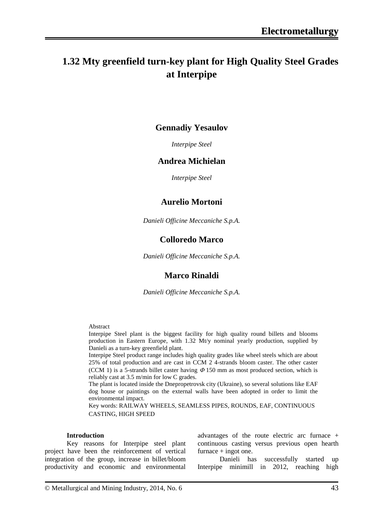# **1.32 Mty greenfield turn-key plant for High Quality Steel Grades at Interpipe**

## **Gennadiy Yesaulov**

*Interpipe Steel*

### **Andrea Michielan**

*Interpipe Steel*

### **Aurelio Mortoni**

*Danieli Officine Meccaniche S.p.A.*

## **Colloredo Marco**

*Danieli Officine Meccaniche S.p.A.*

## **Marco Rinaldi**

*Danieli Officine Meccaniche S.p.A.*

Abstract

Interpipe Steel plant is the biggest facility for high quality round billets and blooms production in Eastern Europe, with 1.32 Mt/y nominal yearly production, supplied by Danieli as a turn-key greenfield plant.

Interpipe Steel product range includes high quality grades like wheel steels which are about 25% of total production and are cast in CCM 2 4-strands bloom caster. The other caster (CCM 1) is a 5-strands billet caster having  $\Phi$  150 mm as most produced section, which is reliably cast at 3.5 m/min for low C grades.

The plant is located inside the Dnepropetrovsk city (Ukraine), so several solutions like EAF dog house or paintings on the external walls have been adopted in order to limit the environmental impact.

Key words: RAILWAY WHEELS, SEAMLESS PIPES, ROUNDS, EAF, CONTINUOUS CASTING, HIGH SPEED

#### **Introduction**

Key reasons for Interpipe steel plant project have been the reinforcement of vertical integration of the group, increase in billet/bloom productivity and economic and environmental advantages of the route electric arc furnace + continuous casting versus previous open hearth  $furnace + ingot one.$ 

Danieli has successfully started up Interpipe minimill in 2012, reaching high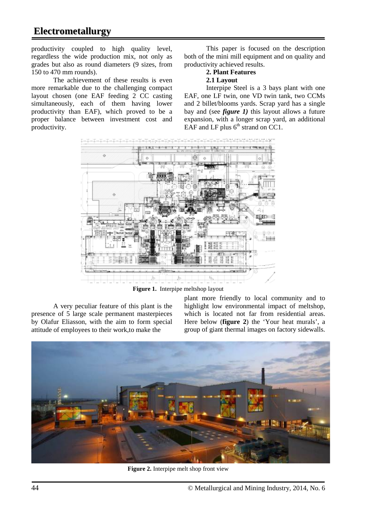productivity coupled to high quality level, regardless the wide production mix, not only as grades but also as round diameters (9 sizes, from 150 to 470 mm rounds).

The achievement of these results is even more remarkable due to the challenging compact layout chosen (one EAF feeding 2 CC casting simultaneously, each of them having lower productivity than EAF), which proved to be a proper balance between investment cost and productivity.

This paper is focused on the description both of the mini mill equipment and on quality and productivity achieved results.

#### **2. Plant Features 2.1 Layout**

Interpipe Steel is a 3 bays plant with one EAF, one LF twin, one VD twin tank, two CCMs and 2 billet/blooms yards. Scrap yard has a single bay and (see *figure 1)* this layout allows a future expansion, with a longer scrap yard, an additional EAF and LF plus  $6<sup>th</sup>$  strand on CC1.



**Figure 1.** Interpipe meltshop layout

A very peculiar feature of this plant is the presence of 5 large scale permanent masterpieces by Olafur Eliasson, with the aim to form special attitude of employees to their work,to make the

plant more friendly to local community and to highlight low environmental impact of meltshop, which is located not far from residential areas. Here below (**figure 2**) the 'Your heat murals', a group of giant thermal images on factory sidewalls.



**Figure 2.** Interpipe melt shop front view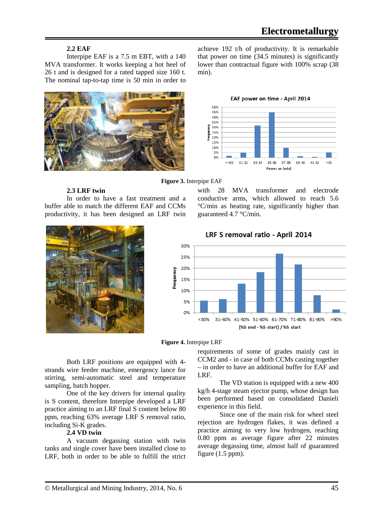### **2.2 EAF**

Interpipe EAF is a 7.5 m EBT, with a 140 MVA transformer. It works keeping a hot heel of 26 t and is designed for a rated tapped size 160 t. The nominal tap-to-tap time is 50 min in order to



achieve 192 t/h of productivity. It is remarkable that power on time (34.5 minutes) is significantly lower than contractual figure with 100% scrap (38 min).



#### **Figure 3.** Interpipe EAF

**2.3 LRF twin**

In order to have a fast treatment and a buffer able to match the different EAF and CCMs productivity, it has been designed an LRF twin



with 28 MVA transformer and electrode conductive arms, which allowed to reach 5.6 °C/min as heating rate, significantly higher than guaranteed 4.7 °C/min.

30% 25% 20% Frequency 15% 10% 5% 0%  $< 30%$ 31-40% 41-50% 51-60% 61-70% 71-80% 81-90% >90% [%S end - %S start] / %S start

LRF S removal ratio - April 2014

**Figure 4.** Interpipe LRF

Both LRF positions are equipped with 4 strands wire feeder machine, emergency lance for stirring, semi-automatic steel and temperature sampling, batch hopper.

One of the key drivers for internal quality is S content, therefore Interpipe developed a LRF practice aiming to an LRF final S content below 80 ppm, reaching 63% average LRF S removal ratio, including Si-K grades.

#### **2.4 VD twin**

A vacuum degassing station with twin tanks and single cover have been installed close to LRF, both in order to be able to fulfill the strict requirements of some of grades mainly cast in CCM2 and - in case of both CCMs casting together – in order to have an additional buffer for EAF and LRF.

The VD station is equipped with a new 400 kg/h 4-stage steam ejector pump, whose design has been performed based on consolidated Danieli experience in this field.

Since one of the main risk for wheel steel rejection are hydrogen flakes, it was defined a practice aiming to very low hydrogen, reaching 0.80 ppm as average figure after 22 minutes average degassing time, almost half of guaranteed figure (1.5 ppm).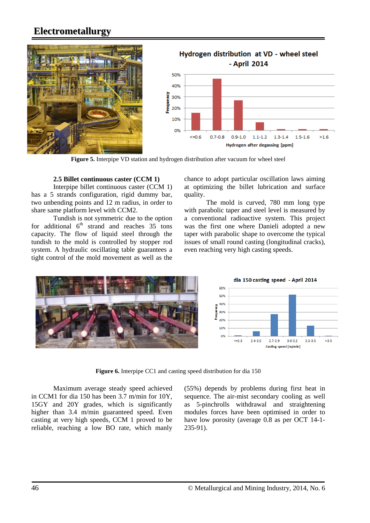



Figure 5. Interpipe VD station and hydrogen distribution after vacuum for wheel steel

#### **2.5 Billet continuous caster (CCM 1)**

Interpipe billet continuous caster (CCM 1) has a 5 strands configuration, rigid dummy bar, two unbending points and 12 m radius, in order to share same platform level with CCM2.

Tundish is not symmetric due to the option for additional  $6<sup>th</sup>$  strand and reaches 35 tons capacity. The flow of liquid steel through the tundish to the mold is controlled by stopper rod system. A hydraulic oscillating table guarantees a tight control of the mold movement as well as the

chance to adopt particular oscillation laws aiming at optimizing the billet lubrication and surface quality.

The mold is curved, 780 mm long type with parabolic taper and steel level is measured by a conventional radioactive system. This project was the first one where Danieli adopted a new taper with parabolic shape to overcome the typical issues of small round casting (longitudinal cracks), even reaching very high casting speeds.



**Figure 6.** Interpipe CC1 and casting speed distribution for dia 150

Maximum average steady speed achieved in CCM1 for dia 150 has been 3.7 m/min for 10Y, 15GY and 20Y grades, which is significantly higher than 3.4 m/min guaranteed speed. Even casting at very high speeds, CCM 1 proved to be reliable, reaching a low BO rate, which manly (55%) depends by problems during first heat in sequence. The air-mist secondary cooling as well as 5-pinchrolls withdrawal and straightening modules forces have been optimised in order to have low porosity (average 0.8 as per OCT 14-1- 235-91).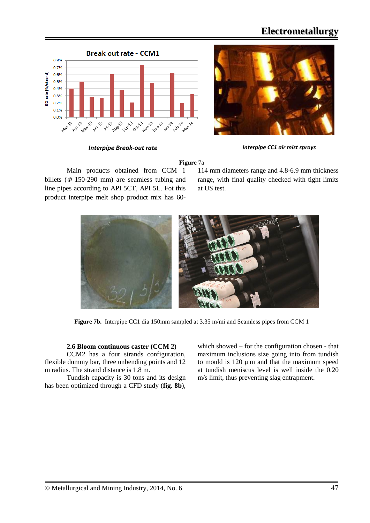



*Interpipe Break-out rate Interpipe CC1 air mist sprays*

**Figure** 7a

Main products obtained from CCM 1 billets ( $\Phi$  150-290 mm) are seamless tubing and line pipes according to API 5CT, API 5L. Fot this product interpipe melt shop product mix has 60-

114 mm diameters range and 4.8-6.9 mm thickness range, with final quality checked with tight limits at US test.



**Figure 7b.** Interpipe CC1 dia 150mm sampled at 3.35 m/mi and Seamless pipes from CCM 1

#### **2.6 Bloom continuous caster (CCM 2)**

CCM2 has a four strands configuration, flexible dummy bar, three unbending points and 12 m radius. The strand distance is 1.8 m.

Tundish capacity is 30 tons and its design has been optimized through a CFD study (**fig. 8b**),

which showed – for the configuration chosen - that maximum inclusions size going into from tundish to mould is  $120 \mu$  m and that the maximum speed at tundish meniscus level is well inside the 0.20 m/s limit, thus preventing slag entrapment.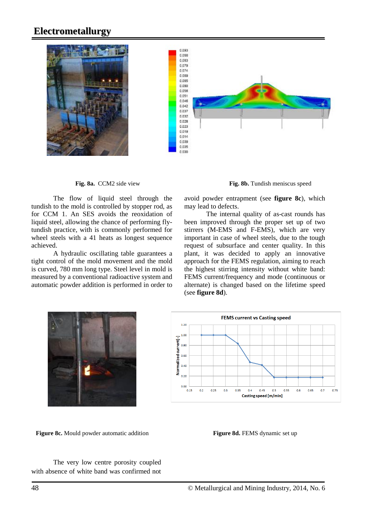

The flow of liquid steel through the tundish to the mold is controlled by stopper rod, as for CCM 1. An SES avoids the reoxidation of liquid steel, allowing the chance of performing flytundish practice, with is commonly performed for wheel steels with a 41 heats as longest sequence achieved.

A hydraulic oscillating table guarantees a tight control of the mold movement and the mold is curved, 780 mm long type. Steel level in mold is measured by a conventional radioactive system and automatic powder addition is performed in order to



avoid powder entrapment (see **figure 8c**), which may lead to defects.

The internal quality of as-cast rounds has been improved through the proper set up of two stirrers (M-EMS and F-EMS), which are very important in case of wheel steels, due to the tough request of subsurface and center quality. In this plant, it was decided to apply an innovative approach for the FEMS regulation, aiming to reach the highest stirring intensity without white band: FEMS current/frequency and mode (continuous or alternate) is changed based on the lifetime speed (see **figure 8d**).





**Figure 8c.** Mould powder automatic addition **Figure 8d. FEMS** dynamic set up

The very low centre porosity coupled with absence of white band was confirmed not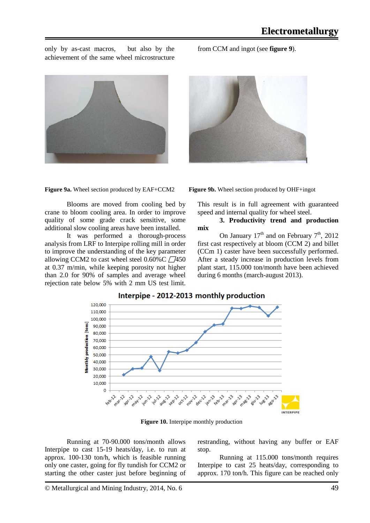only by as-cast macros, but also by the achievement of the same wheel microstructure





Blooms are moved from cooling bed by crane to bloom cooling area. In order to improve quality of some grade crack sensitive, some additional slow cooling areas have been installed.

It was performed a thorough-process analysis from LRF to Interpipe rolling mill in order to improve the understanding of the key parameter allowing CCM2 to cast wheel steel  $0.60\%$ C  $\sqrt{7450}$ at 0.37 m/min, while keeping porosity not higher than 2.0 for 90% of samples and average wheel rejection rate below 5% with 2 mm US test limit.

from CCM and ingot (see **figure 9**).

This result is in full agreement with guaranteed speed and internal quality for wheel steel.

#### **3. Productivity trend and production mix**

On January  $17<sup>th</sup>$  and on February  $7<sup>th</sup>$ , 2012 first cast respectively at bloom (CCM 2) and billet (CCm 1) caster have been successfully performed. After a steady increase in production levels from plant start, 115.000 ton/month have been achieved during 6 months (march-august 2013).



Interpipe - 2012-2013 monthly production

**Figure 10.** Interpipe monthly production

Running at 70-90.000 tons/month allows Interpipe to cast 15-19 heats/day, i.e. to run at approx. 100-130 ton/h, which is feasible running only one caster, going for fly tundish for CCM2 or starting the other caster just before beginning of restranding, without having any buffer or EAF stop.

Running at 115.000 tons/month requires Interpipe to cast 25 heats/day, corresponding to approx. 170 ton/h. This figure can be reached only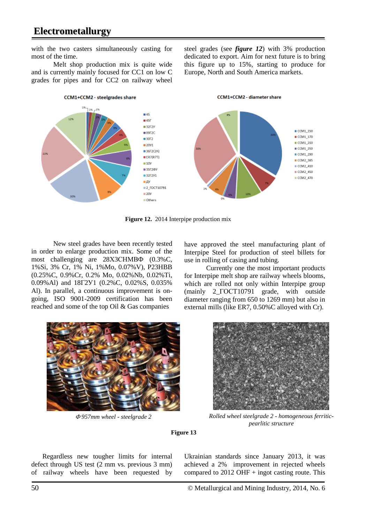with the two casters simultaneously casting for most of the time.

Melt shop production mix is quite wide and is currently mainly focused for CC1 on low C grades for pipes and for CC2 on railway wheel

steel grades (see *figure 12*) with 3% production dedicated to export. Aim for next future is to bring this figure up to 15%, starting to produce for Europe, North and South America markets.



**Figure 12.** 2014 Interpipe production mix

New steel grades have been recently tested in order to enlarge production mix. Some of the most challenging are 28X3CHMB $\Phi$  (0.3%C, 1%Si, 3% Cr, 1% Ni, 1%Mo, 0.07%V), P23HBB (0.25%C, 0.9%Cr, 0.2% Mo, 0.02%Nb, 0.02%Ti, 0.09%Al) and 18Г2У1 (0.2%C, 0.02%S, 0.035% Al). In parallel, a continuous improvement is ongoing, ISO 9001-2009 certification has been reached and some of the top Oil & Gas companies



Currently one the most important products for Interpipe melt shop are railway wheels blooms, which are rolled not only within Interpipe group (mainly 2\_ГОСТ10791 grade, with outside diameter ranging from 650 to 1269 mm) but also in external mills (like ER7, 0.50%C alloyed with Cr).





<sup>Φ</sup> *957mm wheel - steelgrade 2 Rolled wheel steelgrade 2 - homogeneous ferriticpearlitic structure* 

**Figure 13**

Regardless new tougher limits for internal defect through US test (2 mm vs. previous 3 mm) of railway wheels have been requested by

Ukrainian standards since January 2013, it was achieved a 2% improvement in rejected wheels compared to  $2012$  OHF + ingot casting route. This